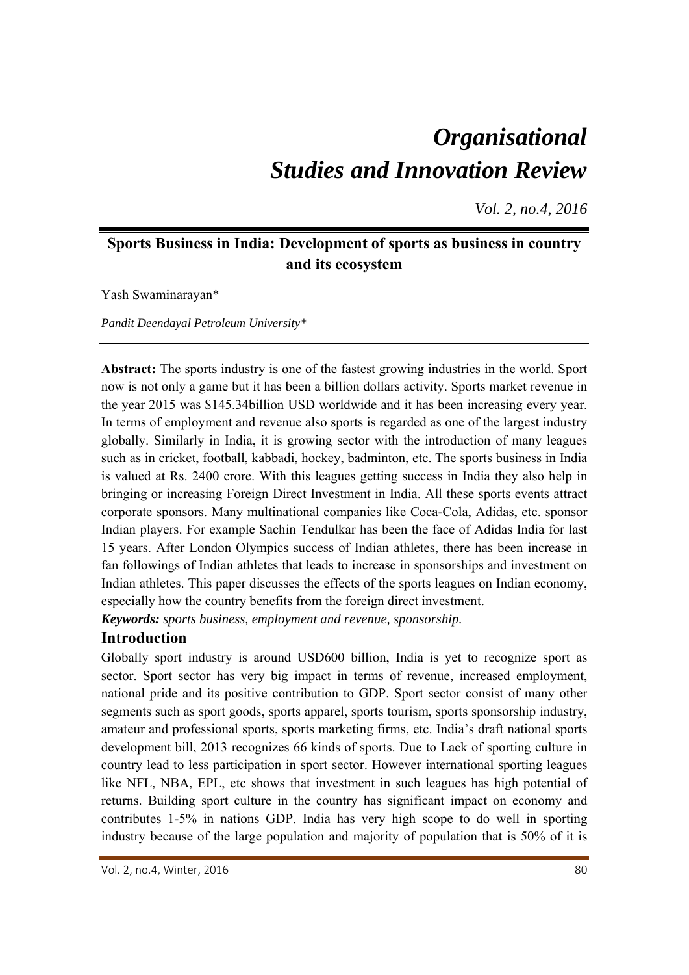# *Organisational Studies and Innovation Review*

*Vol. 2, no.4, 2016*

# **Sports Business in India: Development of sports as business in country and its ecosystem**

Yash Swaminarayan\*

*Pandit Deendayal Petroleum University\** 

**Abstract:** The sports industry is one of the fastest growing industries in the world. Sport now is not only a game but it has been a billion dollars activity. Sports market revenue in the year 2015 was \$145.34billion USD worldwide and it has been increasing every year. In terms of employment and revenue also sports is regarded as one of the largest industry globally. Similarly in India, it is growing sector with the introduction of many leagues such as in cricket, football, kabbadi, hockey, badminton, etc. The sports business in India is valued at Rs. 2400 crore. With this leagues getting success in India they also help in bringing or increasing Foreign Direct Investment in India. All these sports events attract corporate sponsors. Many multinational companies like Coca-Cola, Adidas, etc. sponsor Indian players. For example Sachin Tendulkar has been the face of Adidas India for last 15 years. After London Olympics success of Indian athletes, there has been increase in fan followings of Indian athletes that leads to increase in sponsorships and investment on Indian athletes. This paper discusses the effects of the sports leagues on Indian economy, especially how the country benefits from the foreign direct investment.

*Keywords: sports business, employment and revenue, sponsorship.*

# **Introduction**

Globally sport industry is around USD600 billion, India is yet to recognize sport as sector. Sport sector has very big impact in terms of revenue, increased employment, national pride and its positive contribution to GDP. Sport sector consist of many other segments such as sport goods, sports apparel, sports tourism, sports sponsorship industry, amateur and professional sports, sports marketing firms, etc. India's draft national sports development bill, 2013 recognizes 66 kinds of sports. Due to Lack of sporting culture in country lead to less participation in sport sector. However international sporting leagues like NFL, NBA, EPL, etc shows that investment in such leagues has high potential of returns. Building sport culture in the country has significant impact on economy and contributes 1-5% in nations GDP. India has very high scope to do well in sporting industry because of the large population and majority of population that is 50% of it is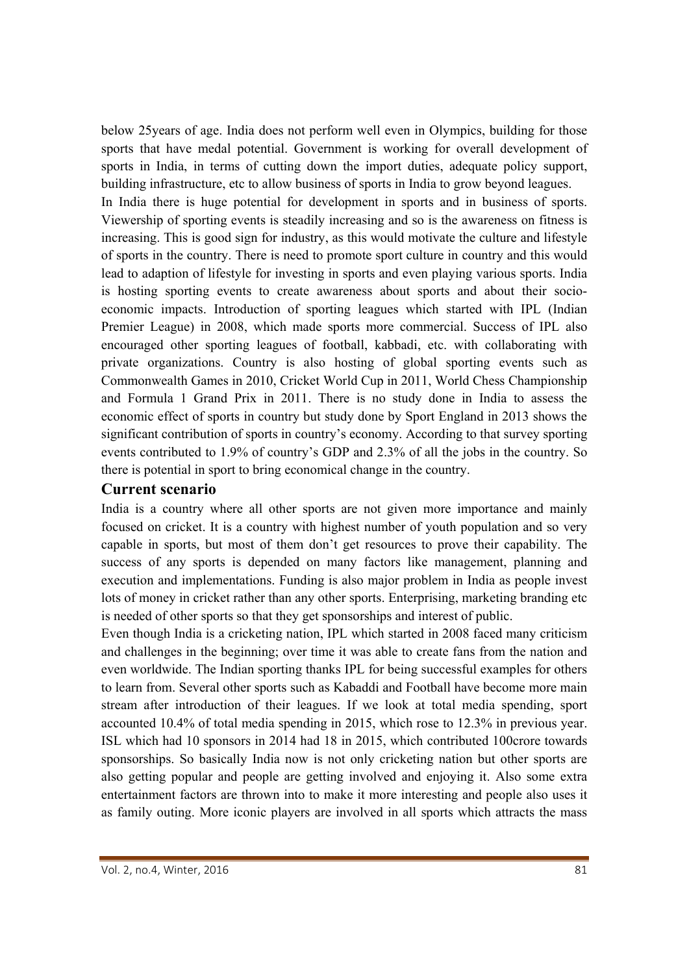below 25years of age. India does not perform well even in Olympics, building for those sports that have medal potential. Government is working for overall development of sports in India, in terms of cutting down the import duties, adequate policy support, building infrastructure, etc to allow business of sports in India to grow beyond leagues.

In India there is huge potential for development in sports and in business of sports. Viewership of sporting events is steadily increasing and so is the awareness on fitness is increasing. This is good sign for industry, as this would motivate the culture and lifestyle of sports in the country. There is need to promote sport culture in country and this would lead to adaption of lifestyle for investing in sports and even playing various sports. India is hosting sporting events to create awareness about sports and about their socioeconomic impacts. Introduction of sporting leagues which started with IPL (Indian Premier League) in 2008, which made sports more commercial. Success of IPL also encouraged other sporting leagues of football, kabbadi, etc. with collaborating with private organizations. Country is also hosting of global sporting events such as Commonwealth Games in 2010, Cricket World Cup in 2011, World Chess Championship and Formula 1 Grand Prix in 2011. There is no study done in India to assess the economic effect of sports in country but study done by Sport England in 2013 shows the significant contribution of sports in country's economy. According to that survey sporting events contributed to 1.9% of country's GDP and 2.3% of all the jobs in the country. So there is potential in sport to bring economical change in the country.

#### **Current scenario**

India is a country where all other sports are not given more importance and mainly focused on cricket. It is a country with highest number of youth population and so very capable in sports, but most of them don't get resources to prove their capability. The success of any sports is depended on many factors like management, planning and execution and implementations. Funding is also major problem in India as people invest lots of money in cricket rather than any other sports. Enterprising, marketing branding etc is needed of other sports so that they get sponsorships and interest of public.

Even though India is a cricketing nation, IPL which started in 2008 faced many criticism and challenges in the beginning; over time it was able to create fans from the nation and even worldwide. The Indian sporting thanks IPL for being successful examples for others to learn from. Several other sports such as Kabaddi and Football have become more main stream after introduction of their leagues. If we look at total media spending, sport accounted 10.4% of total media spending in 2015, which rose to 12.3% in previous year. ISL which had 10 sponsors in 2014 had 18 in 2015, which contributed 100crore towards sponsorships. So basically India now is not only cricketing nation but other sports are also getting popular and people are getting involved and enjoying it. Also some extra entertainment factors are thrown into to make it more interesting and people also uses it as family outing. More iconic players are involved in all sports which attracts the mass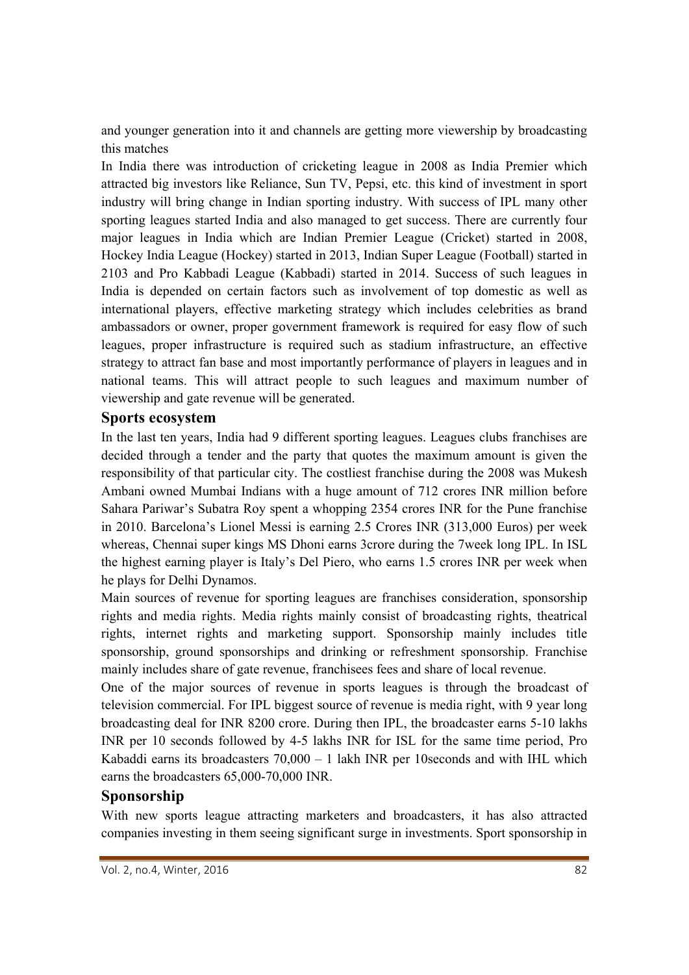and younger generation into it and channels are getting more viewership by broadcasting this matches

In India there was introduction of cricketing league in 2008 as India Premier which attracted big investors like Reliance, Sun TV, Pepsi, etc. this kind of investment in sport industry will bring change in Indian sporting industry. With success of IPL many other sporting leagues started India and also managed to get success. There are currently four major leagues in India which are Indian Premier League (Cricket) started in 2008, Hockey India League (Hockey) started in 2013, Indian Super League (Football) started in 2103 and Pro Kabbadi League (Kabbadi) started in 2014. Success of such leagues in India is depended on certain factors such as involvement of top domestic as well as international players, effective marketing strategy which includes celebrities as brand ambassadors or owner, proper government framework is required for easy flow of such leagues, proper infrastructure is required such as stadium infrastructure, an effective strategy to attract fan base and most importantly performance of players in leagues and in national teams. This will attract people to such leagues and maximum number of viewership and gate revenue will be generated.

#### **Sports ecosystem**

In the last ten years, India had 9 different sporting leagues. Leagues clubs franchises are decided through a tender and the party that quotes the maximum amount is given the responsibility of that particular city. The costliest franchise during the 2008 was Mukesh Ambani owned Mumbai Indians with a huge amount of 712 crores INR million before Sahara Pariwar's Subatra Roy spent a whopping 2354 crores INR for the Pune franchise in 2010. Barcelona's Lionel Messi is earning 2.5 Crores INR (313,000 Euros) per week whereas, Chennai super kings MS Dhoni earns 3crore during the 7week long IPL. In ISL the highest earning player is Italy's Del Piero, who earns 1.5 crores INR per week when he plays for Delhi Dynamos.

Main sources of revenue for sporting leagues are franchises consideration, sponsorship rights and media rights. Media rights mainly consist of broadcasting rights, theatrical rights, internet rights and marketing support. Sponsorship mainly includes title sponsorship, ground sponsorships and drinking or refreshment sponsorship. Franchise mainly includes share of gate revenue, franchisees fees and share of local revenue.

One of the major sources of revenue in sports leagues is through the broadcast of television commercial. For IPL biggest source of revenue is media right, with 9 year long broadcasting deal for INR 8200 crore. During then IPL, the broadcaster earns 5-10 lakhs INR per 10 seconds followed by 4-5 lakhs INR for ISL for the same time period, Pro Kabaddi earns its broadcasters 70,000 – 1 lakh INR per 10seconds and with IHL which earns the broadcasters 65,000-70,000 INR.

# **Sponsorship**

With new sports league attracting marketers and broadcasters, it has also attracted companies investing in them seeing significant surge in investments. Sport sponsorship in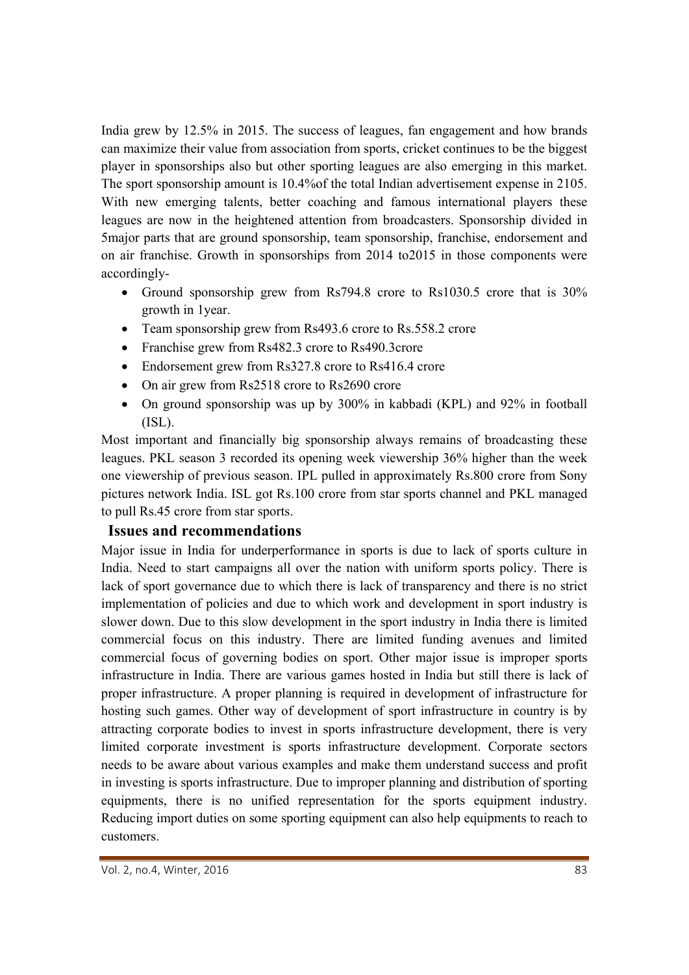India grew by 12.5% in 2015. The success of leagues, fan engagement and how brands can maximize their value from association from sports, cricket continues to be the biggest player in sponsorships also but other sporting leagues are also emerging in this market. The sport sponsorship amount is 10.4%of the total Indian advertisement expense in 2105. With new emerging talents, better coaching and famous international players these leagues are now in the heightened attention from broadcasters. Sponsorship divided in 5major parts that are ground sponsorship, team sponsorship, franchise, endorsement and on air franchise. Growth in sponsorships from 2014 to2015 in those components were accordingly-

- Ground sponsorship grew from Rs794.8 crore to Rs1030.5 crore that is 30% growth in 1year.
- Team sponsorship grew from Rs493.6 crore to Rs.558.2 crore
- Franchise grew from Rs482.3 crore to Rs490.3crore
- Endorsement grew from Rs327.8 crore to Rs416.4 crore
- On air grew from Rs2518 crore to Rs2690 crore
- On ground sponsorship was up by 300% in kabbadi (KPL) and 92% in football (ISL).

Most important and financially big sponsorship always remains of broadcasting these leagues. PKL season 3 recorded its opening week viewership 36% higher than the week one viewership of previous season. IPL pulled in approximately Rs.800 crore from Sony pictures network India. ISL got Rs.100 crore from star sports channel and PKL managed to pull Rs.45 crore from star sports.

# **Issues and recommendations**

Major issue in India for underperformance in sports is due to lack of sports culture in India. Need to start campaigns all over the nation with uniform sports policy. There is lack of sport governance due to which there is lack of transparency and there is no strict implementation of policies and due to which work and development in sport industry is slower down. Due to this slow development in the sport industry in India there is limited commercial focus on this industry. There are limited funding avenues and limited commercial focus of governing bodies on sport. Other major issue is improper sports infrastructure in India. There are various games hosted in India but still there is lack of proper infrastructure. A proper planning is required in development of infrastructure for hosting such games. Other way of development of sport infrastructure in country is by attracting corporate bodies to invest in sports infrastructure development, there is very limited corporate investment is sports infrastructure development. Corporate sectors needs to be aware about various examples and make them understand success and profit in investing is sports infrastructure. Due to improper planning and distribution of sporting equipments, there is no unified representation for the sports equipment industry. Reducing import duties on some sporting equipment can also help equipments to reach to customers.